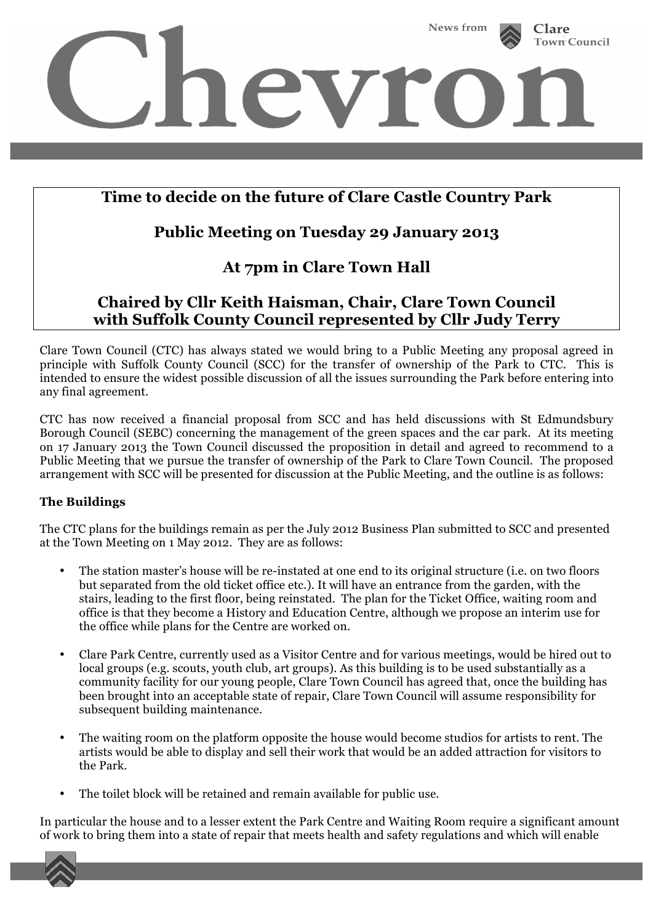

# **Time to decide on the future of Clare Castle Country Park**

## **Public Meeting on Tuesday 29 January 2013**

## **At 7pm in Clare Town Hall**

## **Chaired by Cllr Keith Haisman, Chair, Clare Town Council with Suffolk County Council represented by Cllr Judy Terry**

Clare Town Council (CTC) has always stated we would bring to a Public Meeting any proposal agreed in principle with Suffolk County Council (SCC) for the transfer of ownership of the Park to CTC. This is intended to ensure the widest possible discussion of all the issues surrounding the Park before entering into any final agreement.

CTC has now received a financial proposal from SCC and has held discussions with St Edmundsbury Borough Council (SEBC) concerning the management of the green spaces and the car park. At its meeting on 17 January 2013 the Town Council discussed the proposition in detail and agreed to recommend to a Public Meeting that we pursue the transfer of ownership of the Park to Clare Town Council. The proposed arrangement with SCC will be presented for discussion at the Public Meeting, and the outline is as follows:

### **The Buildings**

The CTC plans for the buildings remain as per the July 2012 Business Plan submitted to SCC and presented at the Town Meeting on 1 May 2012. They are as follows:

- The station master's house will be re-instated at one end to its original structure (i.e. on two floors but separated from the old ticket office etc.). It will have an entrance from the garden, with the stairs, leading to the first floor, being reinstated. The plan for the Ticket Office, waiting room and office is that they become a History and Education Centre, although we propose an interim use for the office while plans for the Centre are worked on.
- Clare Park Centre, currently used as a Visitor Centre and for various meetings, would be hired out to local groups (e.g. scouts, youth club, art groups). As this building is to be used substantially as a community facility for our young people, Clare Town Council has agreed that, once the building has been brought into an acceptable state of repair, Clare Town Council will assume responsibility for subsequent building maintenance.
- The waiting room on the platform opposite the house would become studios for artists to rent. The artists would be able to display and sell their work that would be an added attraction for visitors to the Park.
- The toilet block will be retained and remain available for public use.

In particular the house and to a lesser extent the Park Centre and Waiting Room require a significant amount of work to bring them into a state of repair that meets health and safety regulations and which will enable